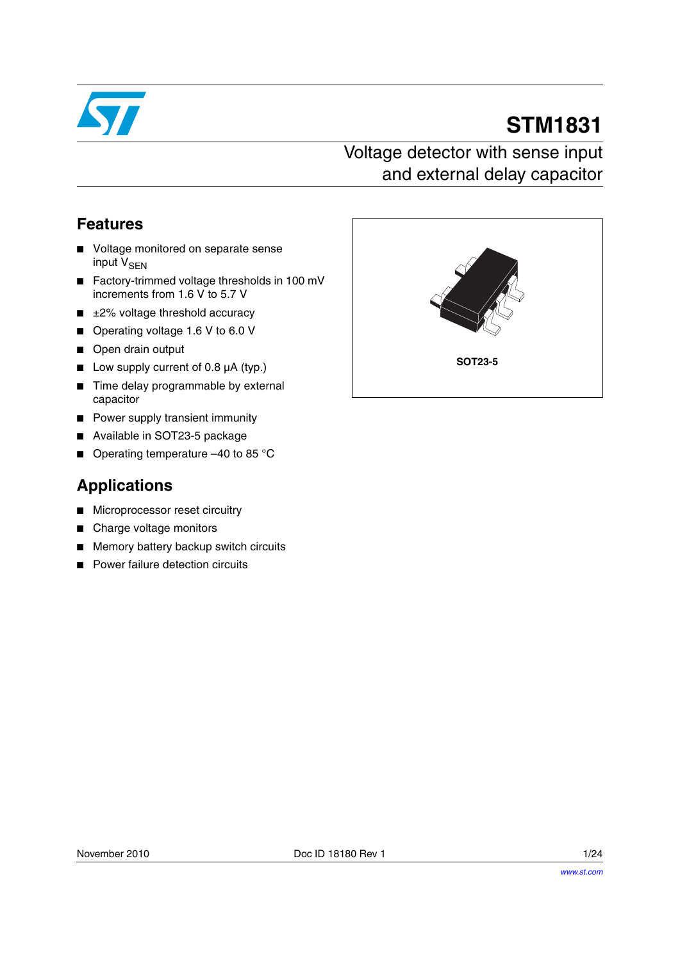

# **STM1831**

## Voltage detector with sense input and external delay capacitor

## **Features**

- Voltage monitored on separate sense input V<sub>SEN</sub>
- Factory-trimmed voltage thresholds in 100 mV increments from 1.6 V to 5.7 V
- $\blacksquare$   $\pm$ 2% voltage threshold accuracy
- Operating voltage 1.6 V to 6.0 V
- Open drain output
- Low supply current of 0.8 µA (typ.)
- Time delay programmable by external capacitor
- Power supply transient immunity
- Available in SOT23-5 package
- Operating temperature -40 to 85 °C

## **Applications**

- Microprocessor reset circuitry
- Charge voltage monitors
- Memory battery backup switch circuits
- **Power failure detection circuits**

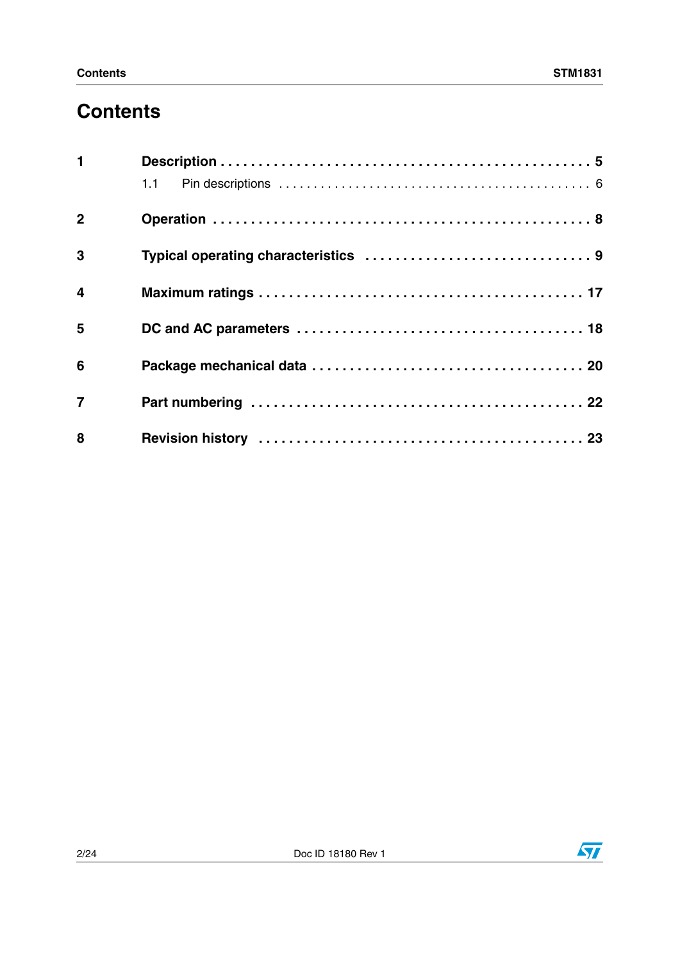# **Contents**

| $\mathbf 1$             |  |
|-------------------------|--|
|                         |  |
| $\overline{2}$          |  |
| $\mathbf{3}$            |  |
| $\overline{\mathbf{4}}$ |  |
| 5                       |  |
| 6                       |  |
| $\overline{7}$          |  |
| 8                       |  |

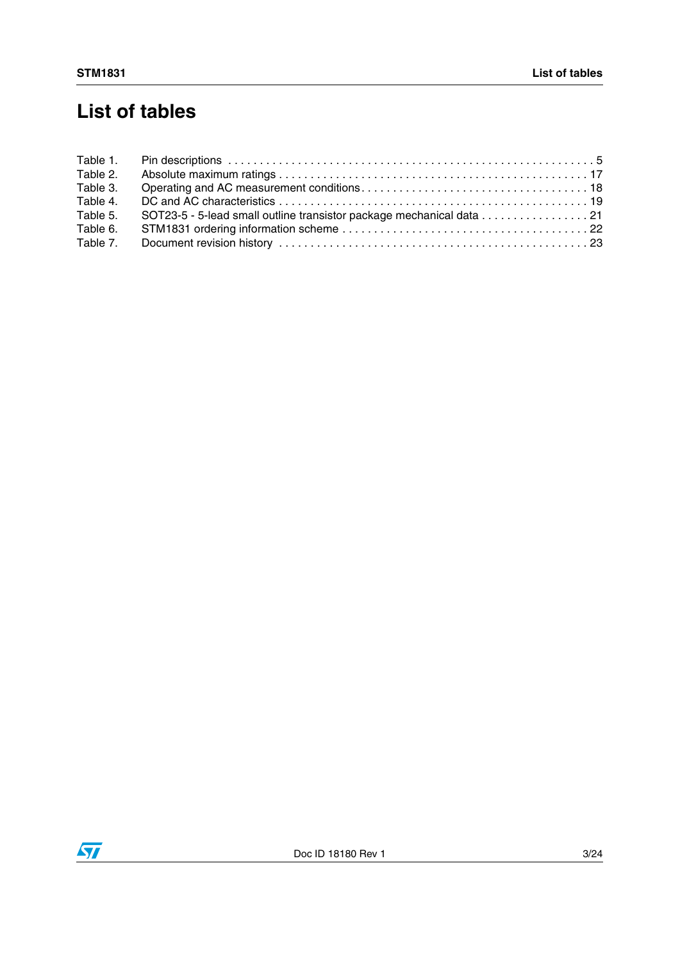# **List of tables**

| Table 1. |  |
|----------|--|
| Table 2. |  |
| Table 3. |  |
| Table 4. |  |
| Table 5. |  |
| Table 6. |  |
| Table 7. |  |

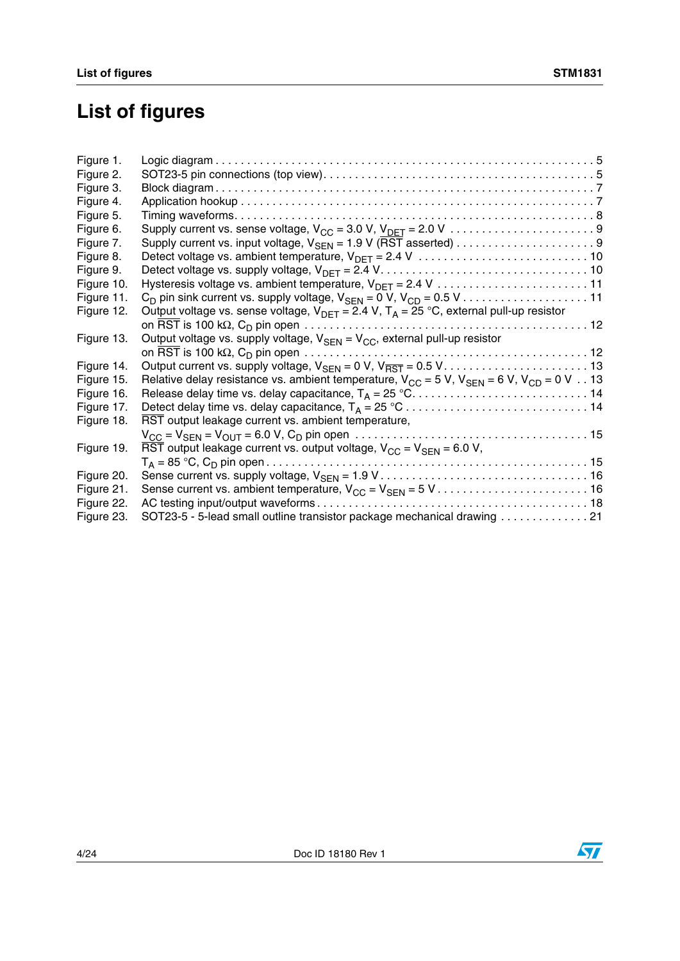# **List of figures**

| Figure 1.  |                                                                                                                                                               |
|------------|---------------------------------------------------------------------------------------------------------------------------------------------------------------|
| Figure 2.  |                                                                                                                                                               |
| Figure 3.  |                                                                                                                                                               |
| Figure 4.  |                                                                                                                                                               |
| Figure 5.  |                                                                                                                                                               |
| Figure 6.  |                                                                                                                                                               |
| Figure 7.  |                                                                                                                                                               |
| Figure 8.  | Detect voltage vs. ambient temperature, $V_{\text{DET}} = 2.4 V_{\text{1}} \ldots \ldots \ldots \ldots \ldots \ldots \ldots \ldots \ldots$                    |
| Figure 9.  | Detect voltage vs. supply voltage, $V_{\text{DFT}} = 2.4 V_{1} \ldots \ldots \ldots \ldots \ldots \ldots \ldots \ldots \ldots \ldots \ldots$                  |
| Figure 10. |                                                                                                                                                               |
| Figure 11. |                                                                                                                                                               |
| Figure 12. | Output voltage vs. sense voltage, $V_{DEF} = 2.4 V$ , $T_A = 25 °C$ , external pull-up resistor                                                               |
|            |                                                                                                                                                               |
| Figure 13. | Output voltage vs. supply voltage, $V_{\text{SEN}} = V_{\text{CC}}$ , external pull-up resistor                                                               |
|            | on $\overline{\text{RST}}$ is 100 kΩ, C <sub>D</sub> pin open $\dots\dots\dots\dots\dots\dots\dots\dots\dots\dots\dots\dots\dots\dots\dots\dots$              |
| Figure 14. |                                                                                                                                                               |
| Figure 15. | Relative delay resistance vs. ambient temperature, $V_{CC}$ = 5 V, $V_{SEN}$ = 6 V, $V_{CD}$ = 0 V 13                                                         |
| Figure 16. |                                                                                                                                                               |
| Figure 17. | Detect delay time vs. delay capacitance, $T_A = 25 \degree C \dots \dots \dots \dots \dots \dots \dots \dots \dots \dots \dots \dots \dots \dots \dots \dots$ |
| Figure 18. | RST output leakage current vs. ambient temperature,                                                                                                           |
|            |                                                                                                                                                               |
| Figure 19. | $\overline{\text{RST}}$ output leakage current vs. output voltage, $V_{CC} = V_{\text{SFN}} = 6.0 \text{ V}$ ,                                                |
|            |                                                                                                                                                               |
| Figure 20. |                                                                                                                                                               |
| Figure 21. |                                                                                                                                                               |
| Figure 22. |                                                                                                                                                               |
| Figure 23. | SOT23-5 - 5-lead small outline transistor package mechanical drawing 21                                                                                       |

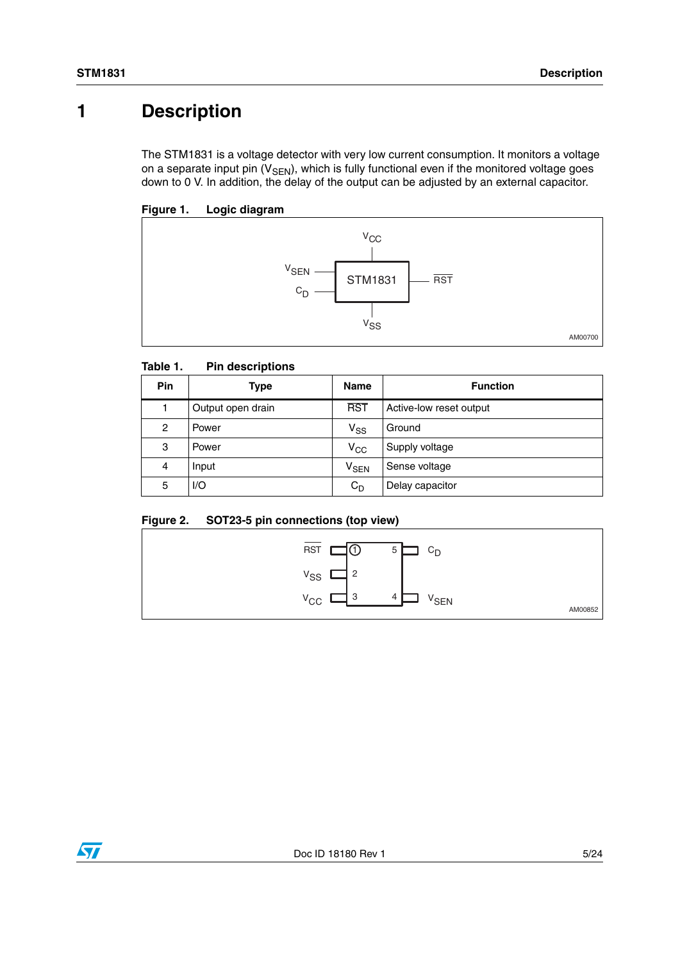## <span id="page-4-0"></span>**1 Description**

The STM1831 is a voltage detector with very low current consumption. It monitors a voltage on a separate input pin  $(V_{\text{SEN}})$ , which is fully functional even if the monitored voltage goes down to 0 V. In addition, the delay of the output can be adjusted by an external capacitor.

### <span id="page-4-2"></span>**Figure 1. Logic diagram**



#### <span id="page-4-1"></span>Table 1. **Pin descriptions**

| <b>Pin</b> | Type              | <b>Name</b>      | <b>Function</b>         |
|------------|-------------------|------------------|-------------------------|
|            | Output open drain | <b>RST</b>       | Active-low reset output |
| 2          | Power             | $V_{SS}$         | Ground                  |
| 3          | Power             | $V_{CC}$         | Supply voltage          |
| 4          | Input             | V <sub>SEN</sub> | Sense voltage           |
| 5          | I/O               | $C_D$            | Delay capacitor         |

### <span id="page-4-3"></span>**Figure 2. SOT23-5 pin connections (top view)**



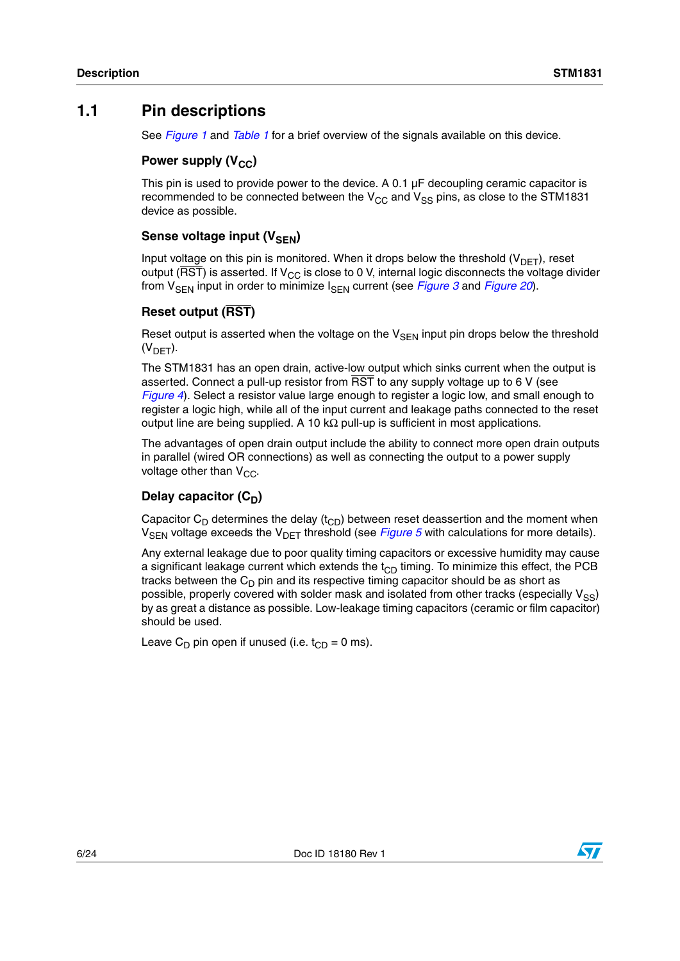## <span id="page-5-0"></span>**1.1 Pin descriptions**

See *[Figure 1](#page-4-2)* and *[Table 1](#page-4-1)* for a brief overview of the signals available on this device.

## **Power supply (V<sub>CC</sub>)**

This pin is used to provide power to the device. A 0.1 µF decoupling ceramic capacitor is recommended to be connected between the  $V_{CC}$  and  $V_{SS}$  pins, as close to the STM1831 device as possible.

### **Sense voltage input (VSEN)**

Input voltage on this pin is monitored. When it drops below the threshold  $(V_{DET})$ , reset output ( $\overline{\text{RST}}$ ) is asserted. If  $V_{CC}$  is close to 0 V, internal logic disconnects the voltage divider from V<sub>SEN</sub> input in order to minimize I<sub>SEN</sub> current (see *[Figure 3](#page-6-0)* and *[Figure 20](#page-15-0)*).

### **Reset output (RST)**

Reset output is asserted when the voltage on the  $V_{SEN}$  input pin drops below the threshold  $(V<sub>DFT</sub>)$ .

The STM1831 has an open drain, active-low output which sinks current when the output is asserted. Connect a pull-up resistor from RST to any supply voltage up to 6 V (see *[Figure 4](#page-6-1)*). Select a resistor value large enough to register a logic low, and small enough to register a logic high, while all of the input current and leakage paths connected to the reset output line are being supplied. A 10 kΩ pull-up is sufficient in most applications.

The advantages of open drain output include the ability to connect more open drain outputs in parallel (wired OR connections) as well as connecting the output to a power supply voltage other than  $V_{CC}$ .

## Delay capacitor (C<sub>D</sub>)

Capacitor  $C_D$  determines the delay ( $t_{CD}$ ) between reset deassertion and the moment when V<sub>SFN</sub> voltage exceeds the V<sub>DFT</sub> threshold (see *[Figure 5](#page-7-1)* with calculations for more details).

Any external leakage due to poor quality timing capacitors or excessive humidity may cause a significant leakage current which extends the  $t_{CD}$  timing. To minimize this effect, the PCB tracks between the  $C_D$  pin and its respective timing capacitor should be as short as possible, properly covered with solder mask and isolated from other tracks (especially  $V_{SS}$ ) by as great a distance as possible. Low-leakage timing capacitors (ceramic or film capacitor) should be used.

Leave C<sub>D</sub> pin open if unused (i.e.  $t_{CD} = 0$  ms).

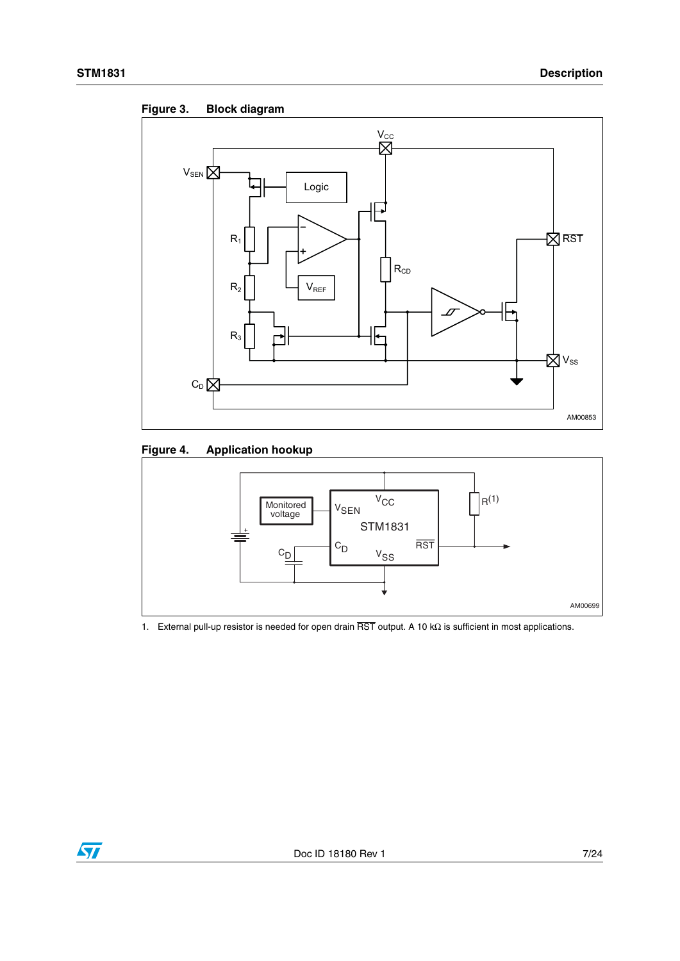<span id="page-6-0"></span>



## <span id="page-6-1"></span>**Figure 4. Application hookup**



1. External pull-up resistor is needed for open drain RST output. A 10 kΩ is sufficient in most applications.

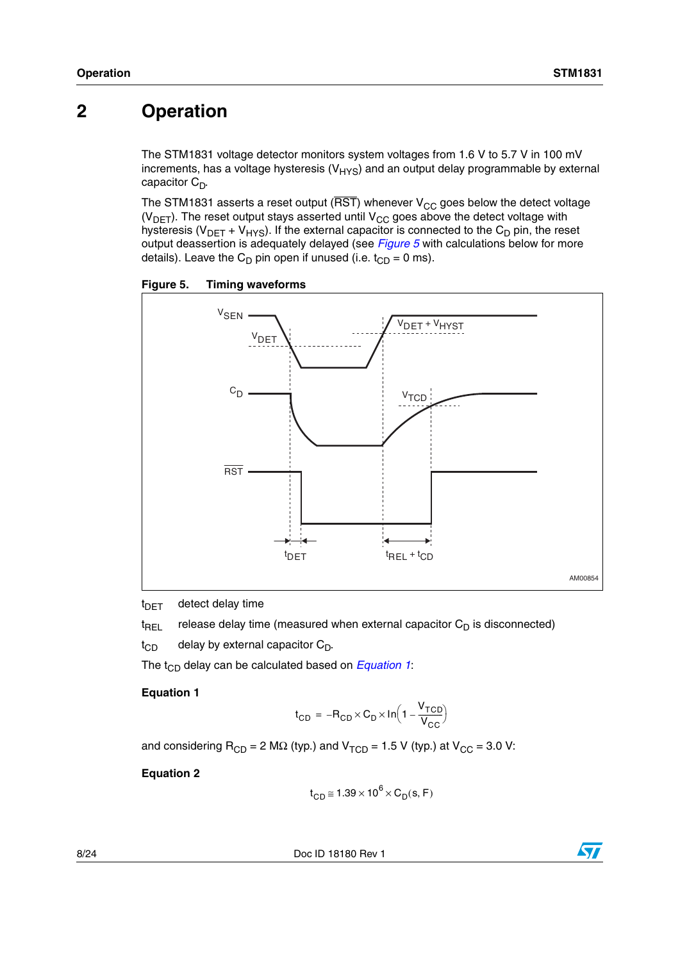## <span id="page-7-0"></span>**2 Operation**

The STM1831 voltage detector monitors system voltages from 1.6 V to 5.7 V in 100 mV increments, has a voltage hysteresis  $(V_{HYS})$  and an output delay programmable by external capacitor  $C_D$ .

The STM1831 asserts a reset output ( $\overline{RST}$ ) whenever V<sub>CC</sub> goes below the detect voltage ( $V<sub>DET</sub>$ ). The reset output stays asserted until  $V<sub>CC</sub>$  goes above the detect voltage with hysteresis ( $V_{\text{DET}} + V_{\text{HYS}}$ ). If the external capacitor is connected to the C<sub>D</sub> pin, the reset output deassertion is adequately delayed (see *[Figure 5](#page-7-1)* with calculations below for more details). Leave the  $C_D$  pin open if unused (i.e.  $t_{CD} = 0$  ms).

<span id="page-7-1"></span>**Figure 5. Timing waveforms**



 $t_{\text{DET}}$  detect delay time

 $t_{\text{RFI}}$  release delay time (measured when external capacitor  $C_{\text{D}}$  is disconnected)

 $t_{CD}$  delay by external capacitor  $C_D$ .

The  $t_{CD}$  delay can be calculated based on *[Equation 1](#page-7-2)*:

#### <span id="page-7-2"></span>**Equation 1**

$$
t_{CD} = -R_{CD} \times C_D \times \ln\left(1 - \frac{V_{TCD}}{V_{CC}}\right)
$$

and considering  $R_{CD} = 2 M\Omega$  (typ.) and  $V_{TCD} = 1.5 V$  (typ.) at  $V_{CC} = 3.0 V$ :

**Equation 2**

$$
t_{CD} \cong 1.39 \times 10^6 \times C_D(s, F)
$$

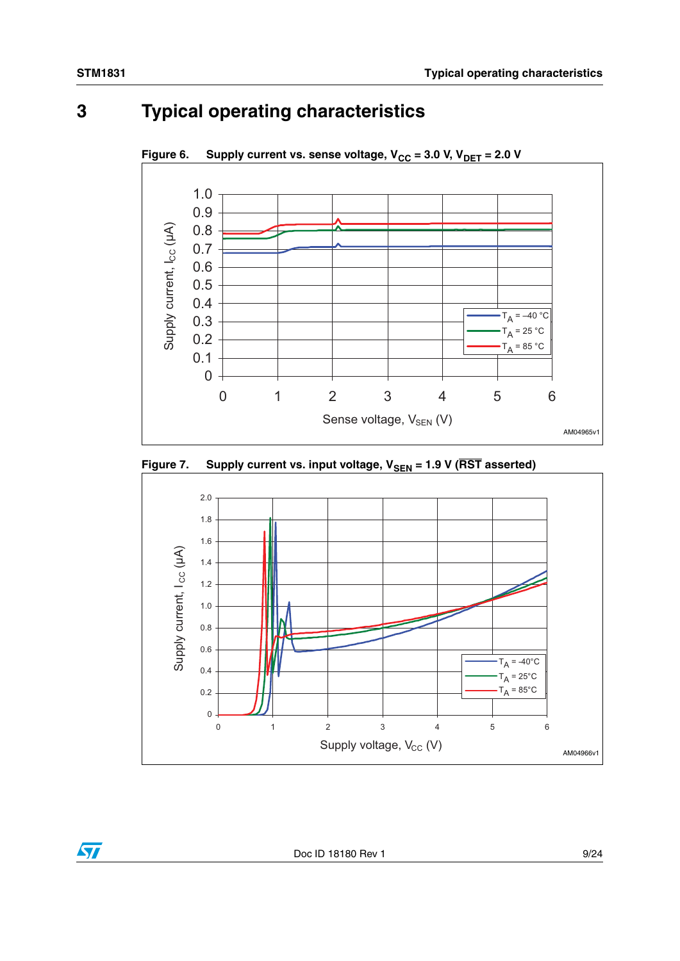# <span id="page-8-0"></span>**3 Typical operating characteristics**



<span id="page-8-1"></span>Figure 6. Supply current vs. sense voltage,  $V_{CC} = 3.0 V, V_{DET} = 2.0 V$ 

<span id="page-8-2"></span>



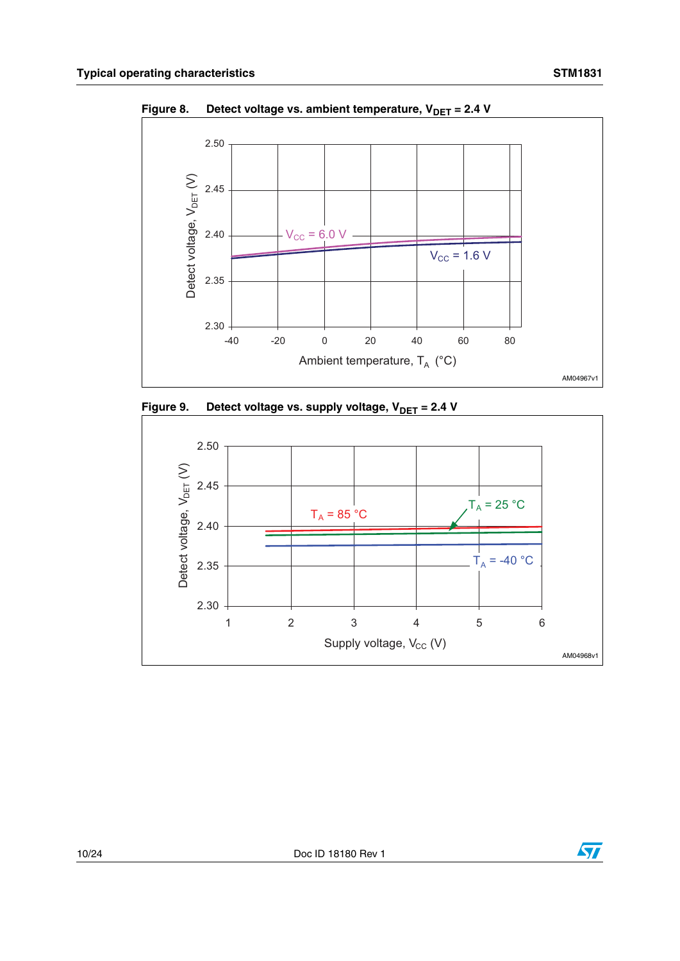

<span id="page-9-0"></span>Figure 8. Detect voltage vs. ambient temperature, V<sub>DET</sub> = 2.4 V

<span id="page-9-1"></span>



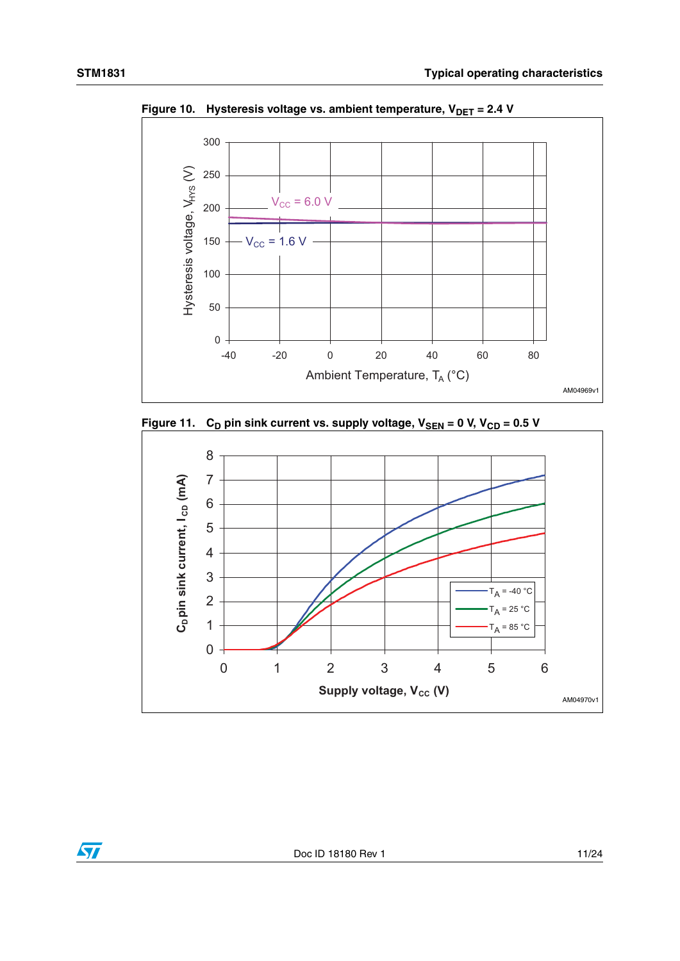

<span id="page-10-0"></span>Figure 10. Hysteresis voltage vs. ambient temperature, V<sub>DET</sub> = 2.4 V

<span id="page-10-1"></span>



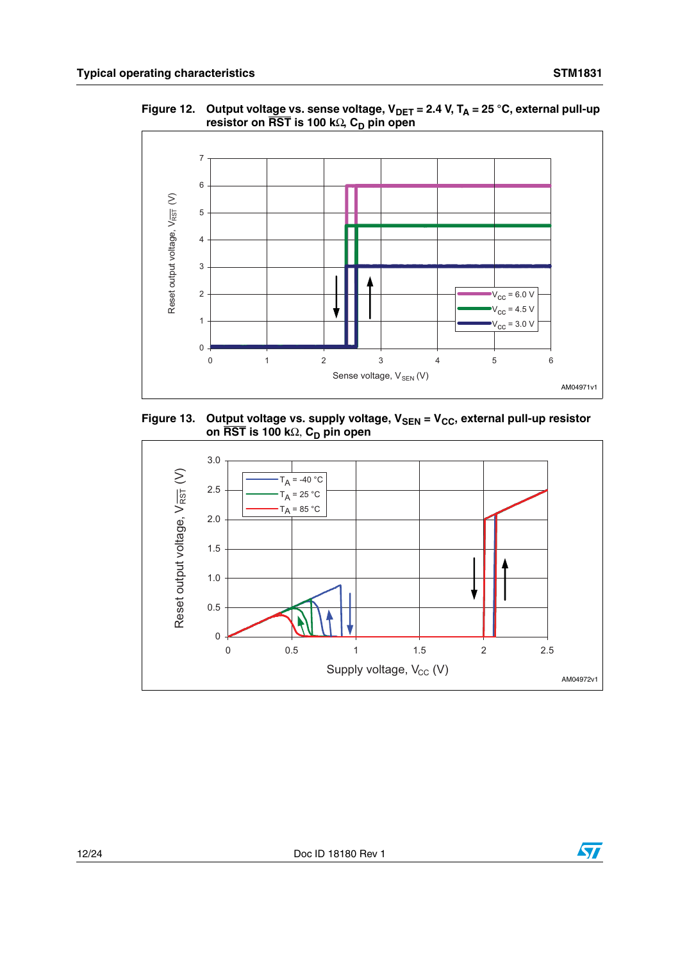

<span id="page-11-0"></span>Figure 12. Output volta<u>ge v</u>s. sense voltage, V<sub>DET</sub> = 2.4 V, T<sub>A</sub> = 25 °C, external pull-up **resistor on RST is 100 k**Ω, C<sub>D</sub> pin open

<span id="page-11-1"></span>Figure 13. Out<u>put </u>voltage vs. supply voltage, V<sub>SEN</sub> = V<sub>CC</sub>, external pull-up resistor **on RST is 100 k**Ω, C<sub>D</sub> pin open

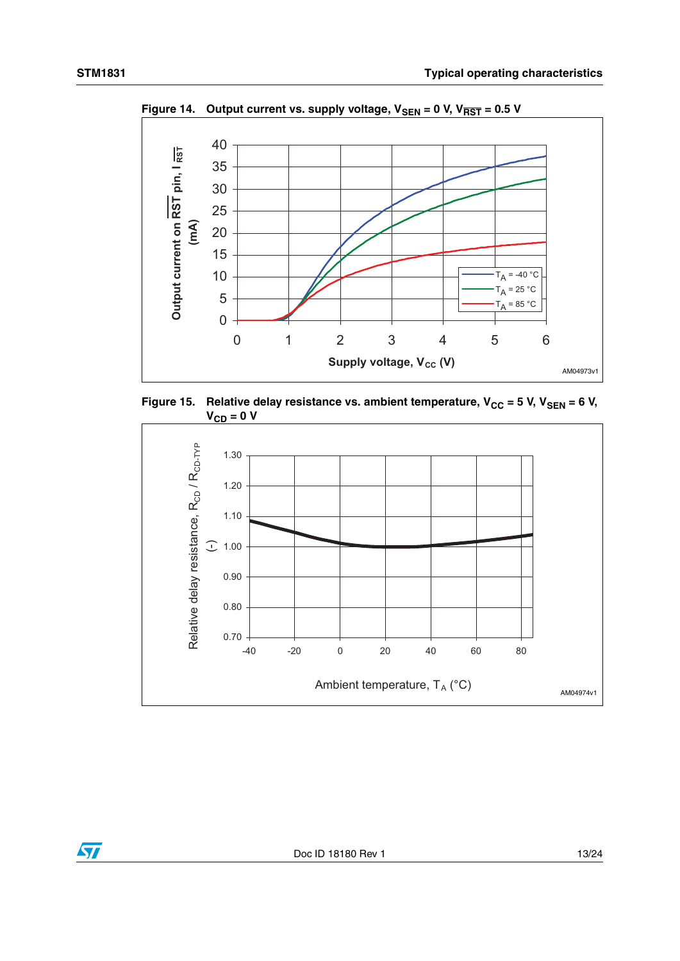$\sqrt{2}$ 



<span id="page-12-0"></span>Figure 14. Output current vs. supply voltage,  $V_{\text{SEN}} = 0$  V,  $V_{\overline{\text{RST}}} = 0.5$  V

<span id="page-12-1"></span>

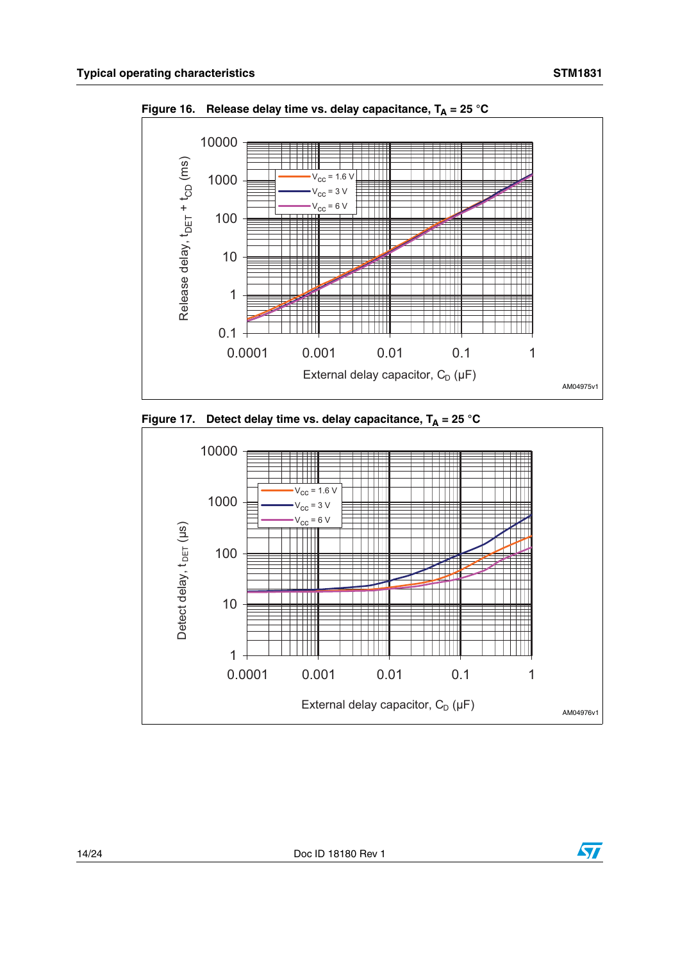

<span id="page-13-0"></span>Figure 16. Release delay time vs. delay capacitance,  $T_A = 25 \degree C$ 

<span id="page-13-1"></span>



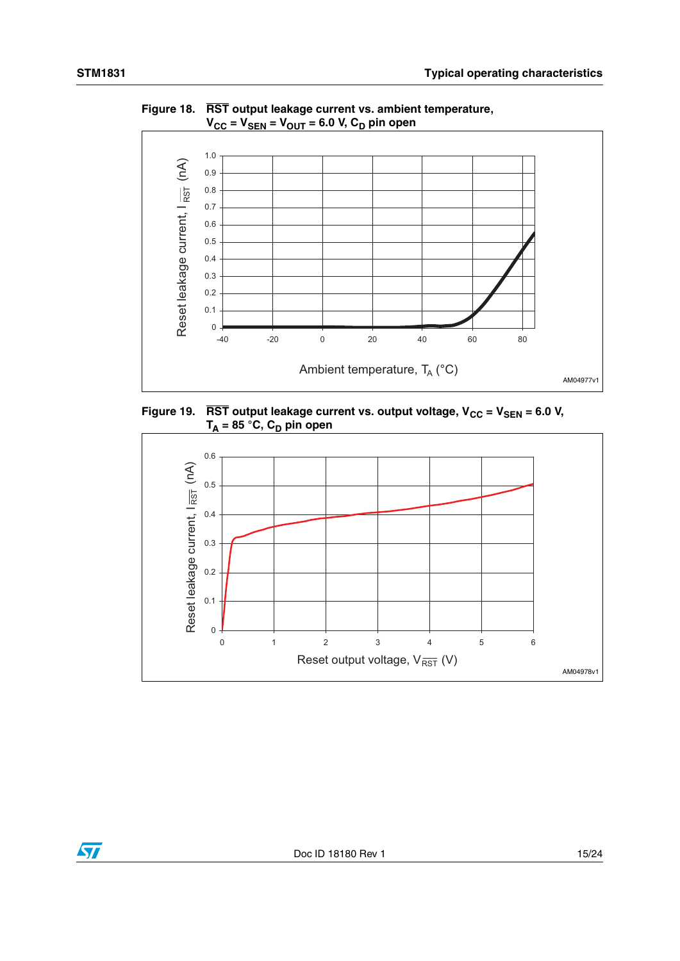

<span id="page-14-0"></span>**Figure 18. RST output leakage current vs. ambient temperature,**   $V_{CC} = V_{SEN} = V_{OUT} = 6.0$  V,  $C_D$  pin open

<span id="page-14-1"></span>

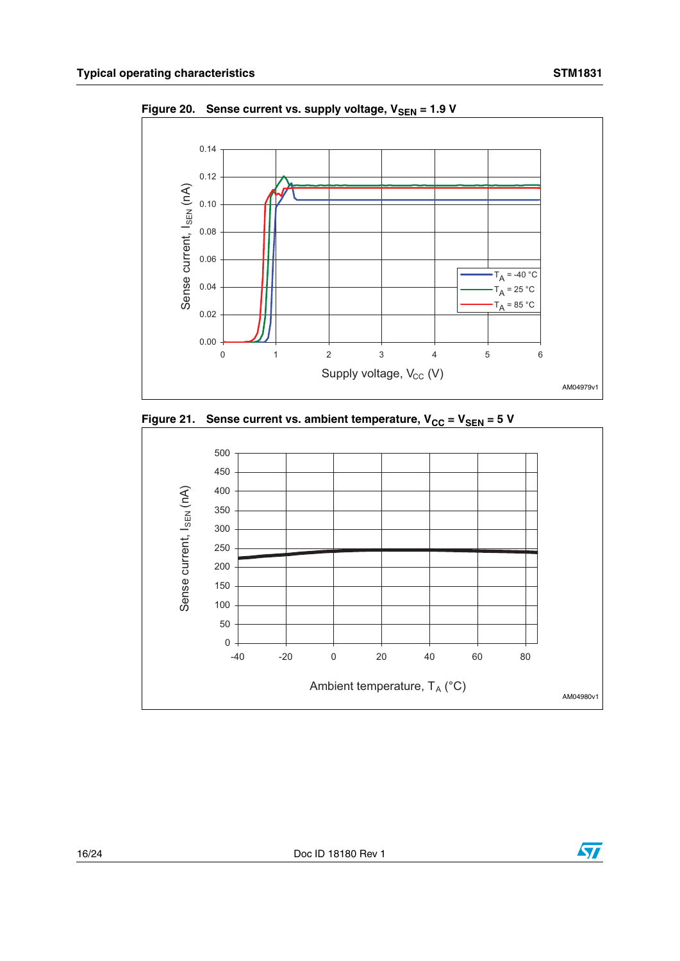

<span id="page-15-0"></span>Figure 20. Sense current vs. supply voltage, V<sub>SEN</sub> = 1.9 V

<span id="page-15-1"></span>



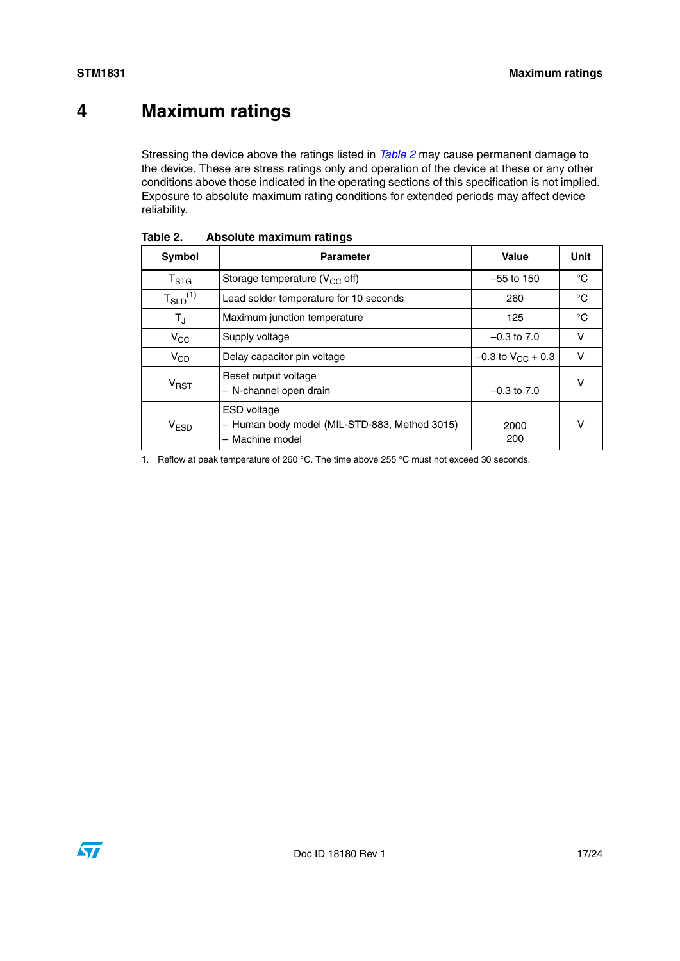# <span id="page-16-0"></span>**4 Maximum ratings**

Stressing the device above the ratings listed in *[Table 2](#page-16-1)* may cause permanent damage to the device. These are stress ratings only and operation of the device at these or any other conditions above those indicated in the operating sections of this specification is not implied. Exposure to absolute maximum rating conditions for extended periods may affect device reliability.

| Symbol                              | <b>Parameter</b>                                                                                        | Value                    | Unit        |
|-------------------------------------|---------------------------------------------------------------------------------------------------------|--------------------------|-------------|
| $T_{\mathtt{STG}}$                  | Storage temperature ( $V_{CC}$ off)                                                                     | $-55$ to 150             | °C          |
| $T_{\scriptstyle \text{SLD}}^{(1)}$ | Lead solder temperature for 10 seconds                                                                  | 260                      | °C          |
| TJ                                  | Maximum junction temperature                                                                            | 125                      | $^{\circ}C$ |
| $V_{\rm CC}$                        | Supply voltage                                                                                          | $-0.3$ to $7.0$          | v           |
| $V_{CD}$                            | Delay capacitor pin voltage                                                                             | $-0.3$ to $V_{CC}$ + 0.3 | v           |
| V <sub>RST</sub>                    | Reset output voltage<br>- N-channel open drain                                                          | $-0.3$ to $7.0$          | ν           |
| <b>V<sub>ESD</sub></b>              | <b>ESD</b> voltage<br>- Human body model (MIL-STD-883, Method 3015)<br>Machine model<br>$\qquad \qquad$ | 2000<br>200              | ν           |

<span id="page-16-1"></span>

| Table 2. |  | Absolute maximum ratings |  |
|----------|--|--------------------------|--|
|----------|--|--------------------------|--|

1. Reflow at peak temperature of 260 °C. The time above 255 °C must not exceed 30 seconds.

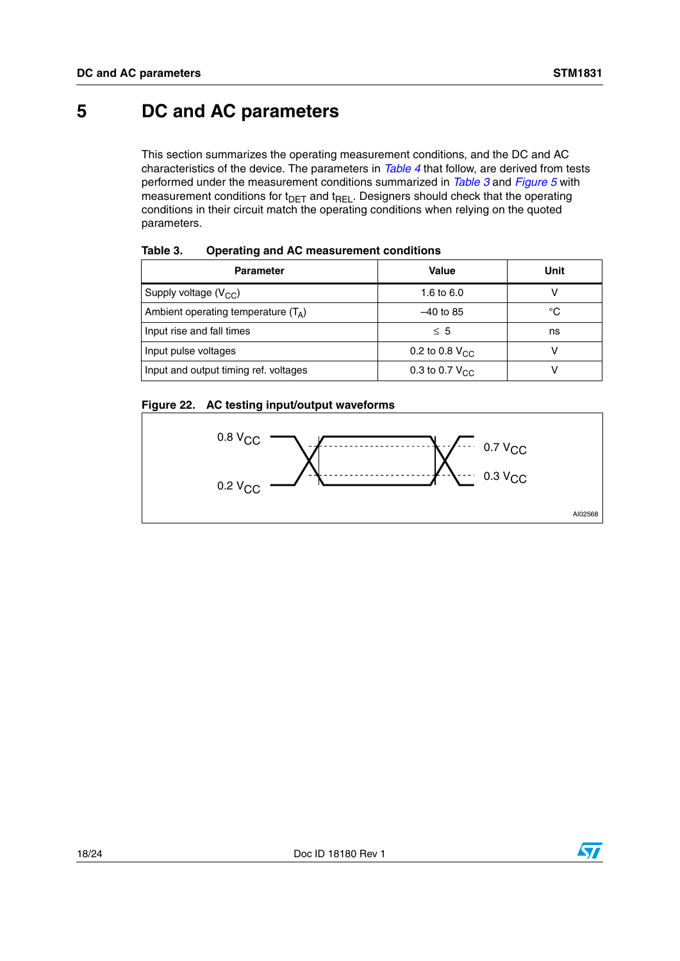## <span id="page-17-0"></span>**5 DC and AC parameters**

This section summarizes the operating measurement conditions, and the DC and AC characteristics of the device. The parameters in *[Table 4](#page-18-0)* that follow, are derived from tests performed under the measurement conditions summarized in *[Table 3](#page-17-1)* and *[Figure 5](#page-7-1)* with measurement conditions for  $t_{\text{DET}}$  and  $t_{\text{REL}}$ . Designers should check that the operating conditions in their circuit match the operating conditions when relying on the quoted parameters.

| <b>Parameter</b>                      | <b>Value</b>        | Unit |
|---------------------------------------|---------------------|------|
| Supply voltage $(V_{CC})$             | 1.6 to 6.0          |      |
| Ambient operating temperature $(T_A)$ | $-40$ to 85         | °C   |
| Input rise and fall times             | $\leq 5$            | ns   |
| Input pulse voltages                  | 0.2 to 0.8 $V_{CC}$ |      |
| Input and output timing ref. voltages | 0.3 to 0.7 $V_{CC}$ |      |

<span id="page-17-1"></span>Table 3. **Operating and AC measurement conditions** 

## <span id="page-17-2"></span>**Figure 22. AC testing input/output waveforms**

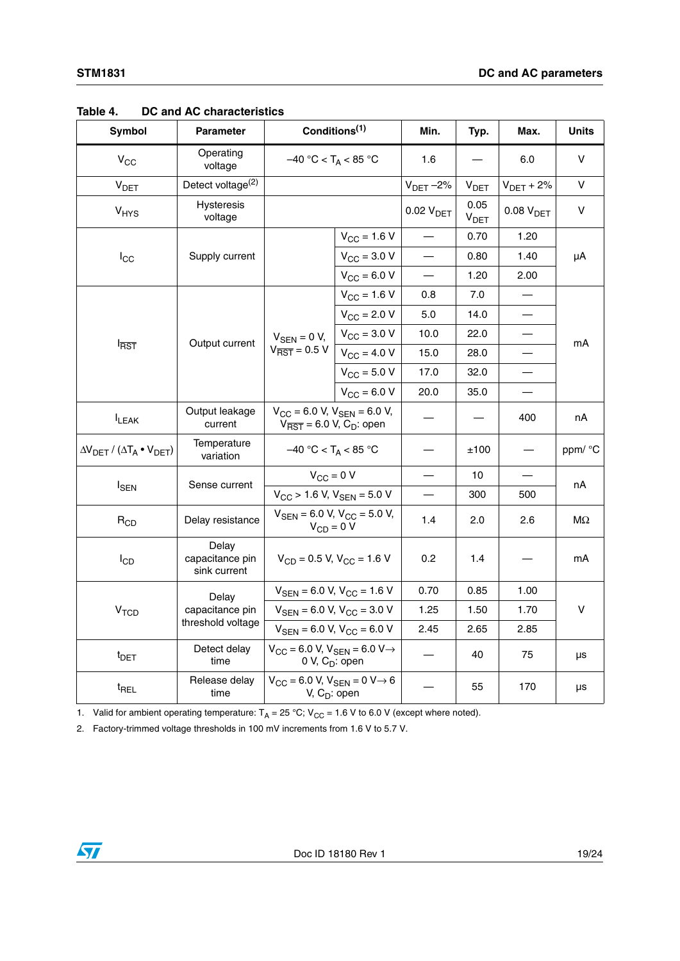| Symbol                                              | Parameter                                | Conditions <sup>(1)</sup>                                                                          |                                                                      | Min.                  | Typ.              | Max.                  | <b>Units</b> |
|-----------------------------------------------------|------------------------------------------|----------------------------------------------------------------------------------------------------|----------------------------------------------------------------------|-----------------------|-------------------|-----------------------|--------------|
| $V_{CC}$                                            | Operating<br>voltage                     | $-40 °C < T_A < 85 °C$                                                                             |                                                                      | 1.6                   |                   | 6.0                   | v            |
| V <sub>DET</sub>                                    | Detect voltage <sup>(2)</sup>            |                                                                                                    |                                                                      | $V_{DET}$ -2%         | V <sub>DET</sub>  | $V_{DET}$ + 2%        | v            |
| V <sub>HYS</sub>                                    | Hysteresis<br>voltage                    |                                                                                                    |                                                                      | 0.02 V <sub>DET</sub> | 0.05<br>$V_{DET}$ | 0.08 V <sub>DET</sub> | $\mathsf V$  |
|                                                     |                                          |                                                                                                    | $V_{\text{CC}} = 1.6 V$                                              |                       | 0.70              | 1.20                  |              |
| $I_{\rm CC}$                                        | Supply current                           |                                                                                                    | $V_{\rm CC} = 3.0 V$                                                 |                       | 0.80              | 1.40                  | μA           |
|                                                     |                                          |                                                                                                    | $V_{CC} = 6.0 V$                                                     |                       | 1.20              | 2.00                  |              |
|                                                     |                                          |                                                                                                    | $V_{CC}$ = 1.6 V                                                     | 0.8                   | 7.0               |                       |              |
|                                                     |                                          |                                                                                                    | $V_{CC} = 2.0 V$                                                     | $5.0\,$               | 14.0              |                       |              |
|                                                     |                                          | $V_{\text{SEN}} = 0 V,$                                                                            | $V_{\text{CC}} = 3.0 V$                                              | 10.0                  | 22.0              |                       |              |
| $I_{\overline{\mathsf{RST}}}$                       | Output current                           | $V_{\overline{\text{RST}}}$ = 0.5 V                                                                | $V_{\rm CC} = 4.0 V$                                                 | 15.0                  | 28.0              |                       | mA           |
|                                                     |                                          |                                                                                                    | $V_{\text{CC}} = 5.0 V$                                              | 17.0                  | 32.0              |                       |              |
|                                                     |                                          |                                                                                                    | $V_{CC} = 6.0 V$                                                     | 20.0                  | 35.0              |                       |              |
| <b>I</b> LEAK                                       | Output leakage<br>current                | $V_{CC}$ = 6.0 V, $V_{SEN}$ = 6.0 V,<br>$V_{\overline{\text{RST}}}$ = 6.0 V, C <sub>D</sub> : open |                                                                      |                       |                   | 400                   | nA           |
| $\Delta V_{DET}$ / ( $\Delta T_A \bullet V_{DET}$ ) | Temperature<br>variation                 | $-40 °C < T_A < 85 °C$                                                                             |                                                                      |                       | ±100              |                       | ppm/ °C      |
|                                                     | Sense current                            | $V_{CC} = 0 V$                                                                                     |                                                                      |                       | 10                |                       |              |
| $I_{SEN}$                                           |                                          | $V_{CC}$ > 1.6 V, $V_{SEN}$ = 5.0 V                                                                |                                                                      |                       | 300               | 500                   | nA           |
| $R_{CD}$                                            | Delay resistance                         |                                                                                                    | $V_{\text{SEN}}$ = 6.0 V, V <sub>CC</sub> = 5.0 V,<br>$V_{CD} = 0 V$ |                       | 2.0               | 2.6                   | ΜΩ           |
| $I_{CD}$                                            | Delay<br>capacitance pin<br>sink current | $V_{CD}$ = 0.5 V, $V_{CC}$ = 1.6 V                                                                 |                                                                      | 0.2                   | 1.4               |                       | mA           |
|                                                     | Delay                                    |                                                                                                    | $V_{\text{SEN}}$ = 6.0 V, $V_{\text{CC}}$ = 1.6 V                    | 0.70                  | 0.85              | 1.00                  |              |
| V <sub>TCD</sub>                                    | capacitance pin                          | $V_{\text{SEN}}$ = 6.0 V, V <sub>CC</sub> = 3.0 V                                                  |                                                                      | 1.25                  | 1.50              | 1.70                  | ۷            |
|                                                     | threshold voltage                        | $V_{\text{SEN}}$ = 6.0 V, V <sub>CC</sub> = 6.0 V                                                  |                                                                      | 2.45                  | 2.65              | 2.85                  |              |
| $t_{\text{DET}}$                                    | Detect delay<br>time                     | $V_{CC}$ = 6.0 V, $V_{SEN}$ = 6.0 V $\rightarrow$<br>0 V, $C_D$ : open                             |                                                                      |                       | 40                | 75                    | μs           |
| $t_{REL}$                                           | Release delay<br>time                    |                                                                                                    | $V_{CC}$ = 6.0 V, $V_{SEN}$ = 0 V $\rightarrow$ 6<br>V, $C_D$ : open |                       | 55                | 170                   | μs           |

<span id="page-18-0"></span>**Table 4. DC and AC characteristics**

1. Valid for ambient operating temperature:  $T_A = 25 °C$ ;  $V_{CC} = 1.6 V$  to 6.0 V (except where noted).

2. Factory-trimmed voltage thresholds in 100 mV increments from 1.6 V to 5.7 V.

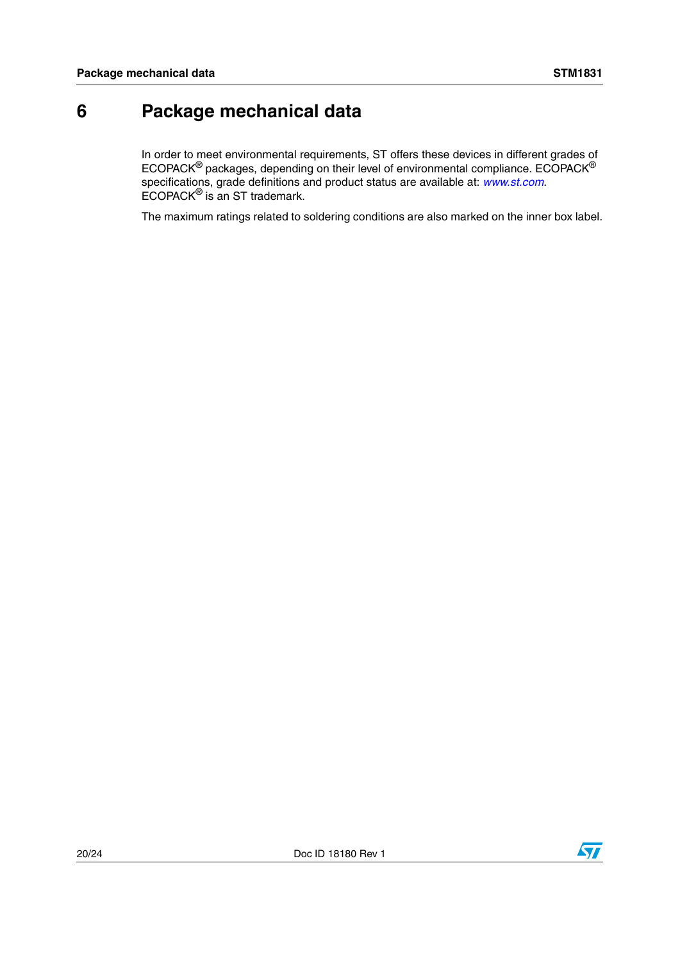# <span id="page-19-0"></span>**6 Package mechanical data**

In order to meet environmental requirements, ST offers these devices in different grades of ECOPACK® packages, depending on their level of environmental compliance. ECOPACK® specifications, grade definitions and product status are available at: *[www.st.com](http://www.st.com)*. ECOPACK® is an ST trademark.

The maximum ratings related to soldering conditions are also marked on the inner box label.

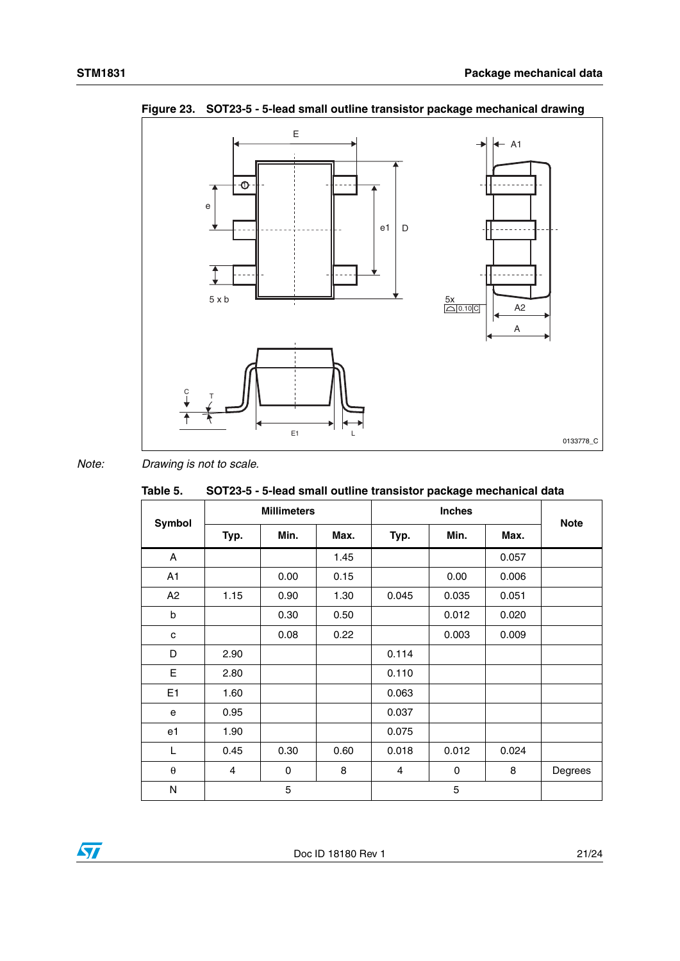

<span id="page-20-1"></span>**Figure 23. SOT23-5 - 5-lead small outline transistor package mechanical drawing**

*Note: Drawing is not to scale.*

|                       |                    |      |      |               | ----- r-----a- |       |         |
|-----------------------|--------------------|------|------|---------------|----------------|-------|---------|
| <b>Symbol</b>         | <b>Millimeters</b> |      |      | <b>Inches</b> |                |       |         |
|                       |                    | Typ. | Min. | Max.          | Typ.           | Min.  | Max.    |
| A                     |                    |      | 1.45 |               |                | 0.057 |         |
| A1                    |                    | 0.00 | 0.15 |               | 0.00           | 0.006 |         |
| A2                    | 1.15               | 0.90 | 1.30 | 0.045         | 0.035          | 0.051 |         |
| $\sf b$               |                    | 0.30 | 0.50 |               | 0.012          | 0.020 |         |
| c                     |                    | 0.08 | 0.22 |               | 0.003          | 0.009 |         |
| D                     | 2.90               |      |      | 0.114         |                |       |         |
| E                     | 2.80               |      |      | 0.110         |                |       |         |
| E1                    | 1.60               |      |      | 0.063         |                |       |         |
| e                     | 0.95               |      |      | 0.037         |                |       |         |
| e1                    | 1.90               |      |      | 0.075         |                |       |         |
| L                     | 0.45               | 0.30 | 0.60 | 0.018         | 0.012          | 0.024 |         |
| $\boldsymbol{\theta}$ | $\overline{4}$     | 0    | 8    | 4             | 0              | 8     | Degrees |
| N                     |                    | 5    |      |               | 5              |       |         |

#### <span id="page-20-0"></span>Table 5. **Table 5. SOT23-5 - 5-lead small outline transistor package mechanical data**

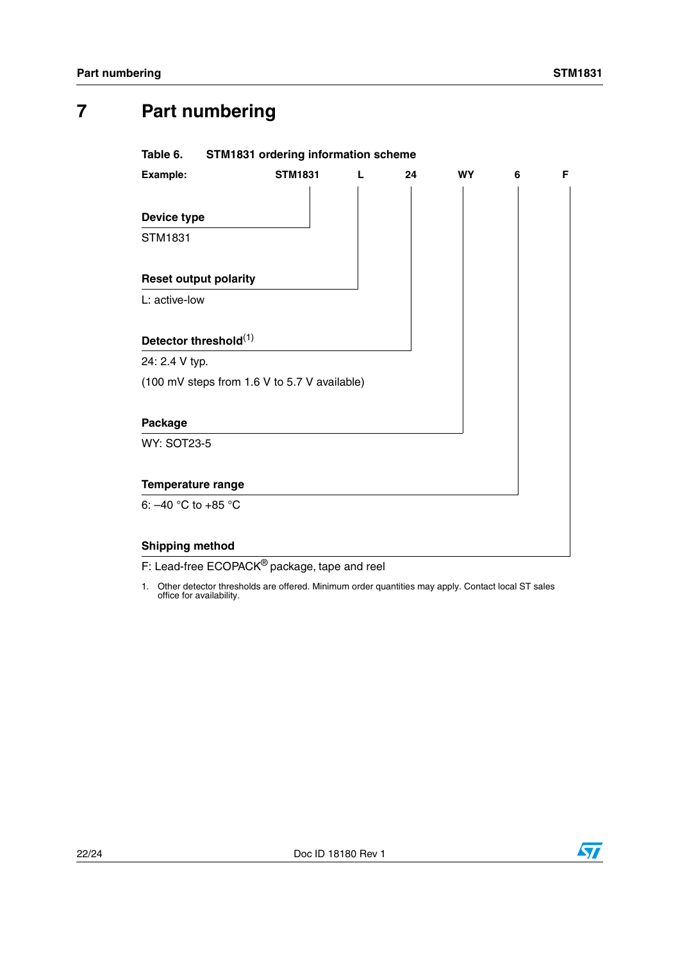# <span id="page-21-0"></span>**7 Part numbering**

### <span id="page-21-1"></span>**Table 6. STM1831 ordering information scheme**

| Example:                     | <b>STM1831</b>                               | L | 24 | <b>WY</b> | 6 | F |
|------------------------------|----------------------------------------------|---|----|-----------|---|---|
|                              |                                              |   |    |           |   |   |
| Device type                  |                                              |   |    |           |   |   |
| STM1831                      |                                              |   |    |           |   |   |
| <b>Reset output polarity</b> |                                              |   |    |           |   |   |
| L: active-low                |                                              |   |    |           |   |   |
| Detector threshold(1)        |                                              |   |    |           |   |   |
| 24: 2.4 V typ.               |                                              |   |    |           |   |   |
|                              | (100 mV steps from 1.6 V to 5.7 V available) |   |    |           |   |   |
| Package                      |                                              |   |    |           |   |   |
| <b>WY: SOT23-5</b>           |                                              |   |    |           |   |   |
| Temperature range            |                                              |   |    |           |   |   |
| 6: $-40$ °C to $+85$ °C      |                                              |   |    |           |   |   |
| <b>Shipping method</b>       |                                              |   |    |           |   |   |

F: Lead-free ECOPACK<sup>®</sup> package, tape and reel

1. Other detector thresholds are offered. Minimum order quantities may apply. Contact local ST sales office for availability.

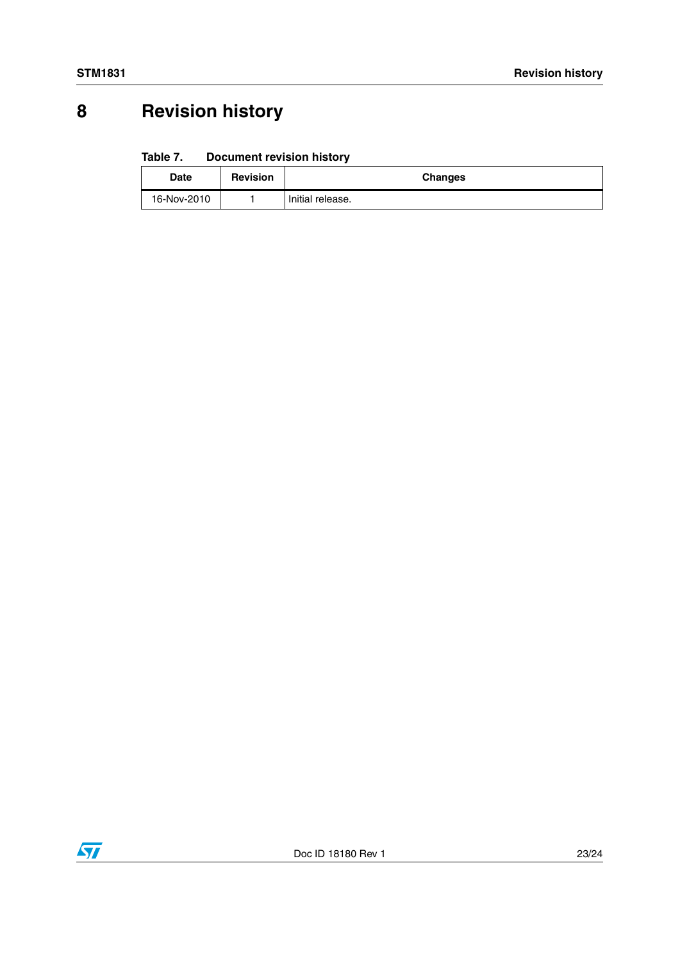# <span id="page-22-0"></span>**8 Revision history**

#### <span id="page-22-1"></span>Table 7. **Document revision history**

| <b>Date</b> | <b>Revision</b> | <b>Changes</b>   |
|-------------|-----------------|------------------|
| 16-Nov-2010 |                 | Initial release. |